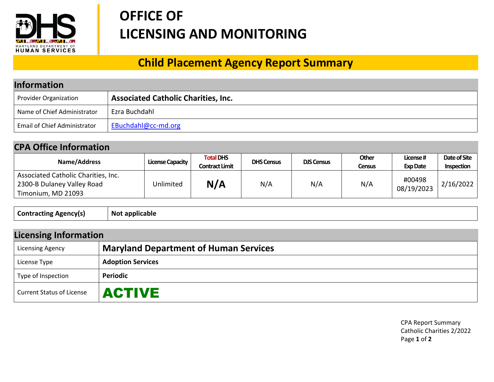

## **OFFICE OF LICENSING AND MONITORING**

## **Child Placement Agency Report Summary**

| <b>Information</b>                  |                                            |  |  |
|-------------------------------------|--------------------------------------------|--|--|
| Provider Organization               | <b>Associated Catholic Charities, Inc.</b> |  |  |
| Name of Chief Administrator         | Ezra Buchdahl                              |  |  |
| <b>Email of Chief Administrator</b> | EBuchdahl@cc-md.org                        |  |  |

## **CPA Office Information**

| Name/Address                                                                            | <b>License Capacity</b> | <b>Total DHS</b><br><b>Contract Limit</b> | <b>DHS Census</b> | <b>DJS Census</b> | Other<br>Census | License#<br><b>Exp Date</b> | Date of Site<br><b>Inspection</b> |
|-----------------------------------------------------------------------------------------|-------------------------|-------------------------------------------|-------------------|-------------------|-----------------|-----------------------------|-----------------------------------|
| Associated Catholic Charities, Inc.<br>2300-B Dulaney Valley Road<br>Timonium, MD 21093 | Unlimited               | N/A                                       | N/A               | N/A               | N/A             | #00498<br>08/19/2023        | 2/16/2022                         |

| <b>Contracting</b><br><b>Agencyls</b><br>. . |
|----------------------------------------------|
|----------------------------------------------|

| <b>Licensing Information</b> |                                              |  |  |
|------------------------------|----------------------------------------------|--|--|
| <b>Licensing Agency</b>      | <b>Maryland Department of Human Services</b> |  |  |
| License Type                 | <b>Adoption Services</b>                     |  |  |
| Type of Inspection           | <b>Periodic</b>                              |  |  |
| Current Status of License    | <b>ACTIVE</b>                                |  |  |

 CPA Report Summary Catholic Charities 2/2022 Page **1** of **2**